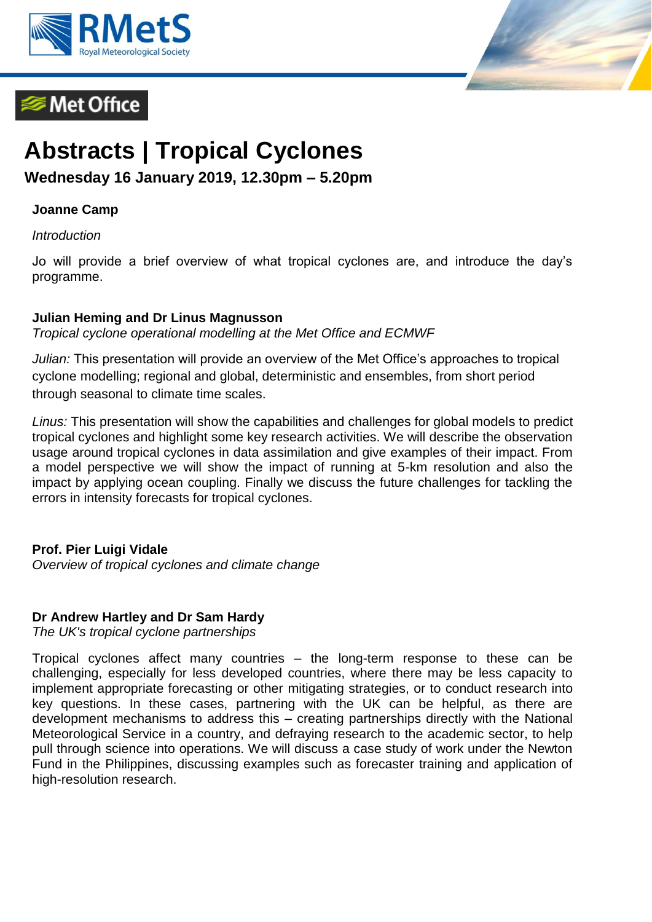

# **Met Office**



# **Abstracts | Tropical Cyclones**

**Wednesday 16 January 2019, 12.30pm – 5.20pm**

## **Joanne Camp**

*Introduction*

Jo will provide a brief overview of what tropical cyclones are, and introduce the day's programme.

#### **Julian Heming and Dr Linus Magnusson**

*Tropical cyclone operational modelling at the Met Office and ECMWF*

*Julian:* This presentation will provide an overview of the Met Office's approaches to tropical cyclone modelling; regional and global, deterministic and ensembles, from short period through seasonal to climate time scales.

*Linus:* This presentation will show the capabilities and challenges for global models to predict tropical cyclones and highlight some key research activities. We will describe the observation usage around tropical cyclones in data assimilation and give examples of their impact. From a model perspective we will show the impact of running at 5-km resolution and also the impact by applying ocean coupling. Finally we discuss the future challenges for tackling the errors in intensity forecasts for tropical cyclones.

### **Prof. Pier Luigi Vidale**

*Overview of tropical cyclones and climate change*

### **Dr Andrew Hartley and Dr Sam Hardy**

*The UK's tropical cyclone partnerships*

Tropical cyclones affect many countries – the long-term response to these can be challenging, especially for less developed countries, where there may be less capacity to implement appropriate forecasting or other mitigating strategies, or to conduct research into key questions. In these cases, partnering with the UK can be helpful, as there are development mechanisms to address this – creating partnerships directly with the National Meteorological Service in a country, and defraying research to the academic sector, to help pull through science into operations. We will discuss a case study of work under the Newton Fund in the Philippines, discussing examples such as forecaster training and application of high-resolution research.